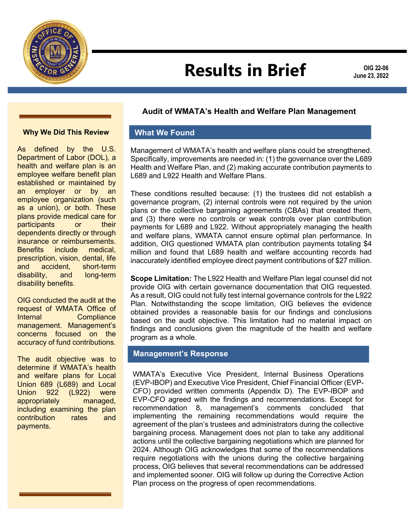

# **Results in Brief**

**OIG 22-06 June 23, 2022**

#### **Why We Did This Review**

As defined by the U.S. Department of Labor (DOL), a health and welfare plan is an employee welfare benefit plan established or maintained by an employer or by an employee organization (such as a union), or both. These plans provide medical care for participants or their dependents directly or through insurance or reimbursements. Benefits include medical, prescription, vision, dental, life<br>and accident. short-term and accident, short-term disability, and long-term disability benefits.

OIG conducted the audit at the request of WMATA Office of Internal Compliance management. Management's concerns focused on the accuracy of fund contributions.

The audit objective was to determine if WMATA's health and welfare plans for Local Union 689 (L689) and Local Union 922 (L922) were appropriately managed, including examining the plan contribution rates and payments.

#### **Audit of WMATA's Health and Welfare Plan Management**

#### **What We Found**

Management of WMATA's health and welfare plans could be strengthened. Specifically, improvements are needed in: (1) the governance over the L689 Health and Welfare Plan, and (2) making accurate contribution payments to L689 and L922 Health and Welfare Plans.

These conditions resulted because: (1) the trustees did not establish a governance program, (2) internal controls were not required by the union plans or the collective bargaining agreements (CBAs) that created them, and (3) there were no controls or weak controls over plan contribution payments for L689 and L922. Without appropriately managing the health and welfare plans, WMATA cannot ensure optimal plan performance. In addition, OIG questioned WMATA plan contribution payments totaling \$4 million and found that L689 health and welfare accounting records had inaccurately identified employee direct payment contributions of \$27 million.

**Scope Limitation:** The L922 Health and Welfare Plan legal counsel did not provide OIG with certain governance documentation that OIG requested. As a result, OIG could not fully test internal governance controls for the L922 Plan. Notwithstanding the scope limitation, OIG believes the evidence obtained provides a reasonable basis for our findings and conclusions based on the audit objective. This limitation had no material impact on findings and conclusions given the magnitude of the health and welfare program as a whole.

#### **Management's Response**

WMATA's Executive Vice President, Internal Business Operations (EVP-IBOP) and Executive Vice President, Chief Financial Officer (EVP-CFO) provided written comments (Appendix D). The EVP-IBOP and EVP-CFO agreed with the findings and recommendations. Except for recommendation 8, management's comments concluded that implementing the remaining recommendations would require the agreement of the plan's trustees and administrators during the collective bargaining process. Management does not plan to take any additional actions until the collective bargaining negotiations which are planned for 2024. Although OIG acknowledges that some of the recommendations require negotiations with the unions during the collective bargaining process, OIG believes that several recommendations can be addressed and implemented sooner. OIG will follow up during the Corrective Action Plan process on the progress of open recommendations.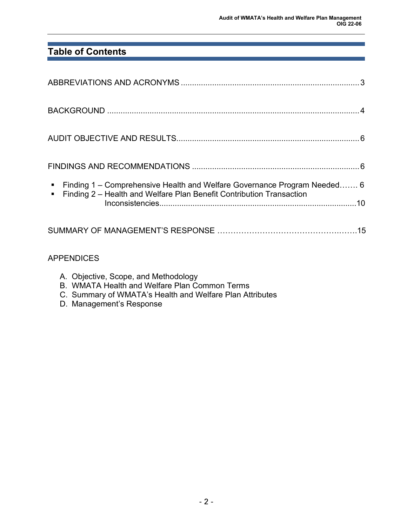# **Table of Contents**

| Finding 1 – Comprehensive Health and Welfare Governance Program Needed 6 |  |
|--------------------------------------------------------------------------|--|
| • Finding 2 - Health and Welfare Plan Benefit Contribution Transaction   |  |
|                                                                          |  |

## APPENDICES

- A. Objective, Scope, and Methodology
- B. WMATA Health and Welfare Plan Common Terms
- C. Summary of WMATA's Health and Welfare Plan Attributes
- D. Management's Response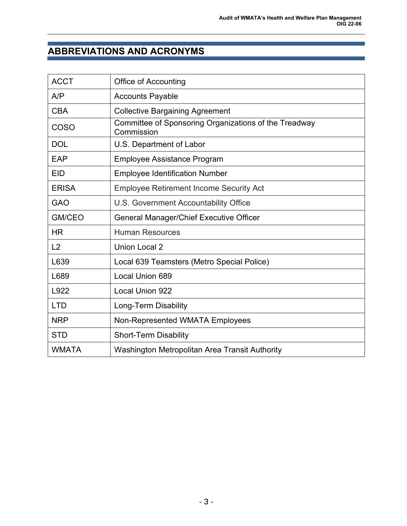# **ABBREVIATIONS AND ACRONYMS**

| <b>ACCT</b>  | <b>Office of Accounting</b>                                         |
|--------------|---------------------------------------------------------------------|
| A/P          | <b>Accounts Payable</b>                                             |
| <b>CBA</b>   | <b>Collective Bargaining Agreement</b>                              |
| <b>COSO</b>  | Committee of Sponsoring Organizations of the Treadway<br>Commission |
| <b>DOL</b>   | U.S. Department of Labor                                            |
| EAP          | <b>Employee Assistance Program</b>                                  |
| <b>EID</b>   | <b>Employee Identification Number</b>                               |
| <b>ERISA</b> | <b>Employee Retirement Income Security Act</b>                      |
| <b>GAO</b>   | U.S. Government Accountability Office                               |
| GM/CEO       | General Manager/Chief Executive Officer                             |
| <b>HR</b>    | <b>Human Resources</b>                                              |
| L2           | <b>Union Local 2</b>                                                |
| L639         | Local 639 Teamsters (Metro Special Police)                          |
| L689         | Local Union 689                                                     |
| L922         | Local Union 922                                                     |
| <b>LTD</b>   | Long-Term Disability                                                |
| <b>NRP</b>   | Non-Represented WMATA Employees                                     |
| <b>STD</b>   | <b>Short-Term Disability</b>                                        |
| <b>WMATA</b> | Washington Metropolitan Area Transit Authority                      |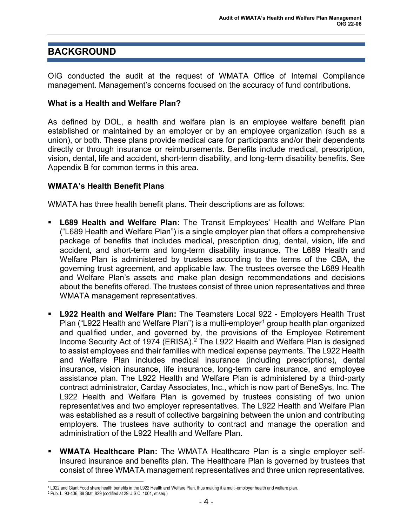# **BACKGROUND**

OIG conducted the audit at the request of WMATA Office of Internal Compliance management. Management's concerns focused on the accuracy of fund contributions.

#### **What is a Health and Welfare Plan?**

As defined by DOL, a health and welfare plan is an employee welfare benefit plan established or maintained by an employer or by an employee organization (such as a union), or both. These plans provide medical care for participants and/or their dependents directly or through insurance or reimbursements. Benefits include medical, prescription, vision, dental, life and accident, short-term disability, and long-term disability benefits. See Appendix B for common terms in this area.

#### **WMATA's Health Benefit Plans**

WMATA has three health benefit plans. Their descriptions are as follows:

- **L689 Health and Welfare Plan:** The Transit Employees' Health and Welfare Plan ("L689 Health and Welfare Plan") is a single employer plan that offers a comprehensive package of benefits that includes medical, prescription drug, dental, vision, life and accident, and short-term and long-term disability insurance. The L689 Health and Welfare Plan is administered by trustees according to the terms of the CBA, the governing trust agreement, and applicable law. The trustees oversee the L689 Health and Welfare Plan's assets and make plan design recommendations and decisions about the benefits offered. The trustees consist of three union representatives and three WMATA management representatives.
- **L922 Health and Welfare Plan:** The Teamsters Local 922 Employers Health Trust Plan ("L922 Health and Welfare Plan") is a multi-employer<sup>[1](#page-3-0)</sup> group health plan organized and qualified under, and governed by, the provisions of the Employee Retirement Income Security Act of 1974 (ERISA). [2](#page-3-1) The L922 Health and Welfare Plan is designed to assist employees and their families with medical expense payments. The L922 Health and Welfare Plan includes medical insurance (including prescriptions), dental insurance, vision insurance, life insurance, long-term care insurance, and employee assistance plan. The L922 Health and Welfare Plan is administered by a third-party contract administrator, Carday Associates, Inc., which is now part of BeneSys, Inc. The L922 Health and Welfare Plan is governed by trustees consisting of two union representatives and two employer representatives. The L922 Health and Welfare Plan was established as a result of collective bargaining between the union and contributing employers. The trustees have authority to contract and manage the operation and administration of the L922 Health and Welfare Plan.
- **WMATA Healthcare Plan:** The WMATA Healthcare Plan is a single employer selfinsured insurance and benefits plan. The Healthcare Plan is governed by trustees that consist of three WMATA management representatives and three union representatives.

<span id="page-3-0"></span><sup>1</sup> L922 and Giant Food share health benefits in the L922 Health and Welfare Plan, thus making it a multi-employer health and welfare plan.

<span id="page-3-1"></span><sup>2</sup> Pub. L. 93-406, 88 Stat. 829 (codified at 29 U.S.C. 1001, et seq.)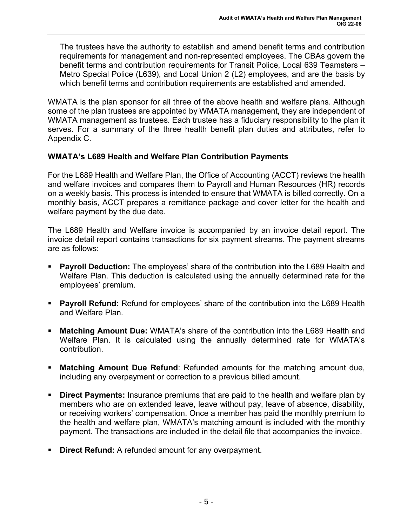The trustees have the authority to establish and amend benefit terms and contribution requirements for management and non-represented employees. The CBAs govern the benefit terms and contribution requirements for Transit Police, Local 639 Teamsters – Metro Special Police (L639), and Local Union 2 (L2) employees, and are the basis by which benefit terms and contribution requirements are established and amended.

WMATA is the plan sponsor for all three of the above health and welfare plans. Although some of the plan trustees are appointed by WMATA management, they are independent of WMATA management as trustees. Each trustee has a fiduciary responsibility to the plan it serves. For a summary of the three health benefit plan duties and attributes, refer to Appendix C.

#### **WMATA's L689 Health and Welfare Plan Contribution Payments**

For the L689 Health and Welfare Plan, the Office of Accounting (ACCT) reviews the health and welfare invoices and compares them to Payroll and Human Resources (HR) records on a weekly basis. This process is intended to ensure that WMATA is billed correctly. On a monthly basis, ACCT prepares a remittance package and cover letter for the health and welfare payment by the due date.

The L689 Health and Welfare invoice is accompanied by an invoice detail report. The invoice detail report contains transactions for six payment streams. The payment streams are as follows:

- **Payroll Deduction:** The employees' share of the contribution into the L689 Health and Welfare Plan. This deduction is calculated using the annually determined rate for the employees' premium.
- **Payroll Refund:** Refund for employees' share of the contribution into the L689 Health and Welfare Plan.
- **Matching Amount Due:** WMATA's share of the contribution into the L689 Health and Welfare Plan. It is calculated using the annually determined rate for WMATA's contribution.
- **Matching Amount Due Refund**: Refunded amounts for the matching amount due, including any overpayment or correction to a previous billed amount.
- **Direct Payments:** Insurance premiums that are paid to the health and welfare plan by members who are on extended leave, leave without pay, leave of absence, disability, or receiving workers' compensation. Once a member has paid the monthly premium to the health and welfare plan, WMATA's matching amount is included with the monthly payment. The transactions are included in the detail file that accompanies the invoice.
- **Direct Refund:** A refunded amount for any overpayment.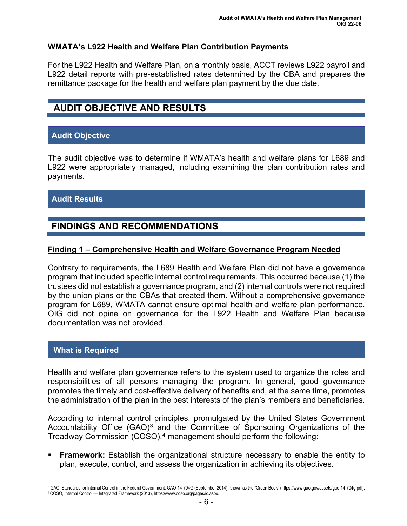#### **WMATA's L922 Health and Welfare Plan Contribution Payments**

For the L922 Health and Welfare Plan, on a monthly basis, ACCT reviews L922 payroll and L922 detail reports with pre-established rates determined by the CBA and prepares the remittance package for the health and welfare plan payment by the due date.

# **AUDIT OBJECTIVE AND RESULTS**

## **Audit Objective**

The audit objective was to determine if WMATA's health and welfare plans for L689 and L922 were appropriately managed, including examining the plan contribution rates and payments.

## **Audit Results**

# **FINDINGS AND RECOMMENDATIONS**

#### **Finding 1 – Comprehensive Health and Welfare Governance Program Needed**

Contrary to requirements, the L689 Health and Welfare Plan did not have a governance program that included specific internal control requirements. This occurred because (1) the trustees did not establish a governance program, and (2) internal controls were not required by the union plans or the CBAs that created them. Without a comprehensive governance program for L689, WMATA cannot ensure optimal health and welfare plan performance. OIG did not opine on governance for the L922 Health and Welfare Plan because documentation was not provided.

#### **What is Required**

Health and welfare plan governance refers to the system used to organize the roles and responsibilities of all persons managing the program. In general, good governance promotes the timely and cost-effective delivery of benefits and, at the same time, promotes the administration of the plan in the best interests of the plan's members and beneficiaries.

According to internal control principles, promulgated by the United States Government Accountability Office  $(GAO)^3$  $(GAO)^3$  and the Committee of Sponsoring Organizations of the Treadway Commission (COSO), [4](#page-5-1) management should perform the following:

 **Framework:** Establish the organizational structure necessary to enable the entity to plan, execute, control, and assess the organization in achieving its objectives.

<span id="page-5-1"></span><span id="page-5-0"></span><sup>3</sup> GAO, Standards for Internal Control in the Federal Government, GAO-14-704G (September 2014), known as the "Green Book" (https://www.gao.gov/assets/gao-14-704g.pdf). 4 COSO, Internal Control — Integrated Framework (2013), https://www.coso.org/pages/ic.aspx.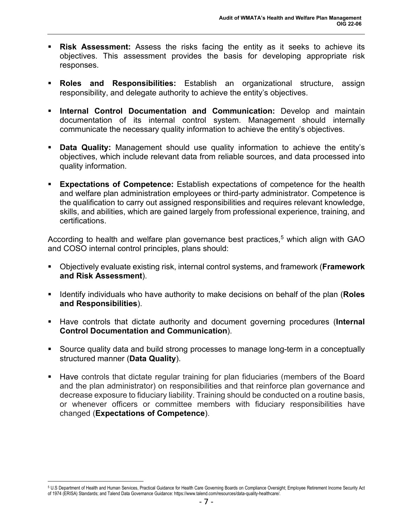- **Risk Assessment:** Assess the risks facing the entity as it seeks to achieve its objectives. This assessment provides the basis for developing appropriate risk responses.
- **Roles and Responsibilities:** Establish an organizational structure, assign responsibility, and delegate authority to achieve the entity's objectives.
- **Internal Control Documentation and Communication:** Develop and maintain documentation of its internal control system. Management should internally communicate the necessary quality information to achieve the entity's objectives.
- **Data Quality:** Management should use quality information to achieve the entity's objectives, which include relevant data from reliable sources, and data processed into quality information.
- **Expectations of Competence:** Establish expectations of competence for the health and welfare plan administration employees or third-party administrator. Competence is the qualification to carry out assigned responsibilities and requires relevant knowledge, skills, and abilities, which are gained largely from professional experience, training, and certifications.

According to health and welfare plan governance best practices, [5](#page-6-0) which align with GAO and COSO internal control principles, plans should:

- Objectively evaluate existing risk, internal control systems, and framework (**Framework and Risk Assessment**).
- Identify individuals who have authority to make decisions on behalf of the plan (**Roles and Responsibilities**).
- Have controls that dictate authority and document governing procedures (**Internal Control Documentation and Communication**).
- Source quality data and build strong processes to manage long-term in a conceptually structured manner (**Data Quality**).
- Have controls that dictate regular training for plan fiduciaries (members of the Board and the plan administrator) on responsibilities and that reinforce plan governance and decrease exposure to fiduciary liability. Training should be conducted on a routine basis, or whenever officers or committee members with fiduciary responsibilities have changed (**Expectations of Competence**).

<span id="page-6-0"></span><sup>5</sup> U.S Department of Health and Human Services, Practical Guidance for Health Care Governing Boards on Compliance Oversight; Employee Retirement Income Security Act of 1974 (ERISA) Standards; and Talend Data Governance Guidance: https://www.talend.com/resources/data-quality-healthcare/.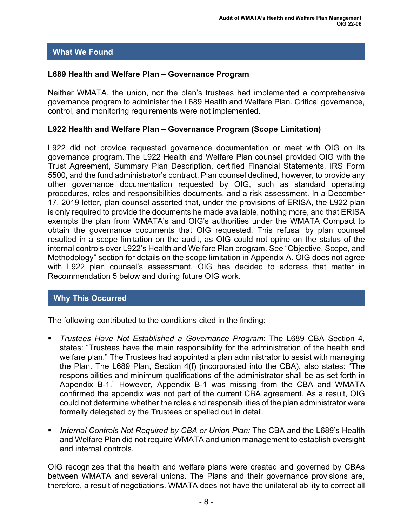# **What We Found**

#### **L689 Health and Welfare Plan – Governance Program**

Neither WMATA, the union, nor the plan's trustees had implemented a comprehensive governance program to administer the L689 Health and Welfare Plan. Critical governance, control, and monitoring requirements were not implemented.

#### **L922 Health and Welfare Plan – Governance Program (Scope Limitation)**

L922 did not provide requested governance documentation or meet with OIG on its governance program. The L922 Health and Welfare Plan counsel provided OIG with the Trust Agreement, Summary Plan Description, certified Financial Statements, IRS Form 5500, and the fund administrator's contract. Plan counsel declined, however, to provide any other governance documentation requested by OIG, such as standard operating procedures, roles and responsibilities documents, and a risk assessment. In a December 17, 2019 letter, plan counsel asserted that, under the provisions of ERISA, the L922 plan is only required to provide the documents he made available, nothing more, and that ERISA exempts the plan from WMATA's and OIG's authorities under the WMATA Compact to obtain the governance documents that OIG requested. This refusal by plan counsel resulted in a scope limitation on the audit, as OIG could not opine on the status of the internal controls over L922's Health and Welfare Plan program. See "Objective, Scope, and Methodology" section for details on the scope limitation in Appendix A. OIG does not agree with L922 plan counsel's assessment. OIG has decided to address that matter in Recommendation 5 below and during future OIG work.

## **Why This Occurred**

The following contributed to the conditions cited in the finding:

- *Trustees Have Not Established a Governance Program*: The L689 CBA Section 4, states: "Trustees have the main responsibility for the administration of the health and welfare plan." The Trustees had appointed a plan administrator to assist with managing the Plan. The L689 Plan, Section 4(f) (incorporated into the CBA), also states: "The responsibilities and minimum qualifications of the administrator shall be as set forth in Appendix B-1." However, Appendix B-1 was missing from the CBA and WMATA confirmed the appendix was not part of the current CBA agreement. As a result, OIG could not determine whether the roles and responsibilities of the plan administrator were formally delegated by the Trustees or spelled out in detail.
- *Internal Controls Not Required by CBA or Union Plan:* The CBA and the L689's Health and Welfare Plan did not require WMATA and union management to establish oversight and internal controls.

OIG recognizes that the health and welfare plans were created and governed by CBAs between WMATA and several unions. The Plans and their governance provisions are, therefore, a result of negotiations. WMATA does not have the unilateral ability to correct all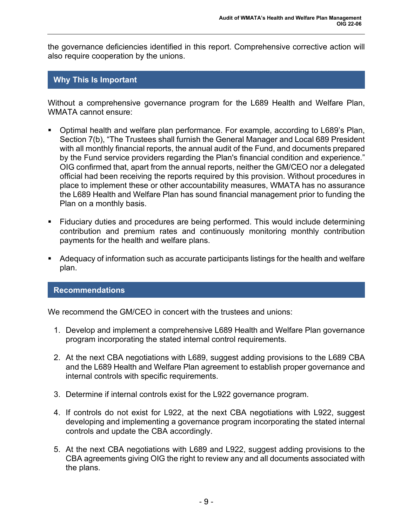the governance deficiencies identified in this report. Comprehensive corrective action will also require cooperation by the unions.

#### **Why This Is Important**

Without a comprehensive governance program for the L689 Health and Welfare Plan, WMATA cannot ensure:

- Optimal health and welfare plan performance. For example, according to L689's Plan, Section 7(b), "The Trustees shall furnish the General Manager and Local 689 President with all monthly financial reports, the annual audit of the Fund, and documents prepared by the Fund service providers regarding the Plan's financial condition and experience." OIG confirmed that, apart from the annual reports, neither the GM/CEO nor a delegated official had been receiving the reports required by this provision. Without procedures in place to implement these or other accountability measures, WMATA has no assurance the L689 Health and Welfare Plan has sound financial management prior to funding the Plan on a monthly basis.
- Fiduciary duties and procedures are being performed. This would include determining contribution and premium rates and continuously monitoring monthly contribution payments for the health and welfare plans.
- Adequacy of information such as accurate participants listings for the health and welfare plan.

#### **Recommendations**

We recommend the GM/CEO in concert with the trustees and unions:

- 1. Develop and implement a comprehensive L689 Health and Welfare Plan governance program incorporating the stated internal control requirements.
- 2. At the next CBA negotiations with L689, suggest adding provisions to the L689 CBA and the L689 Health and Welfare Plan agreement to establish proper governance and internal controls with specific requirements.
- 3. Determine if internal controls exist for the L922 governance program.
- 4. If controls do not exist for L922, at the next CBA negotiations with L922, suggest developing and implementing a governance program incorporating the stated internal controls and update the CBA accordingly.
- 5. At the next CBA negotiations with L689 and L922, suggest adding provisions to the CBA agreements giving OIG the right to review any and all documents associated with the plans.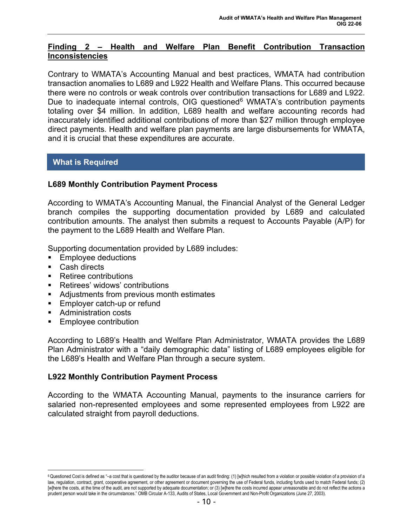## **Finding 2 – Health and Welfare Plan Benefit Contribution Transaction Inconsistencies**

Contrary to WMATA's Accounting Manual and best practices, WMATA had contribution transaction anomalies to L689 and L922 Health and Welfare Plans. This occurred because there were no controls or weak controls over contribution transactions for L689 and L922. Due to inadequate internal controls, OIG questioned<sup>[6](#page-9-0)</sup> WMATA's contribution payments totaling over \$4 million. In addition, L689 health and welfare accounting records had inaccurately identified additional contributions of more than \$27 million through employee direct payments. Health and welfare plan payments are large disbursements for WMATA, and it is crucial that these expenditures are accurate.

#### **What is Required**

#### **L689 Monthly Contribution Payment Process**

According to WMATA's Accounting Manual, the Financial Analyst of the General Ledger branch compiles the supporting documentation provided by L689 and calculated contribution amounts. The analyst then submits a request to Accounts Payable (A/P) for the payment to the L689 Health and Welfare Plan.

Supporting documentation provided by L689 includes:

- Employee deductions
- Cash directs
- Retiree contributions
- **Retirees' widows' contributions**
- Adjustments from previous month estimates
- **Employer catch-up or refund**
- Administration costs
- **Employee contribution**

According to L689's Health and Welfare Plan Administrator, WMATA provides the L689 Plan Administrator with a "daily demographic data" listing of L689 employees eligible for the L689's Health and Welfare Plan through a secure system.

#### **L922 Monthly Contribution Payment Process**

According to the WMATA Accounting Manual, payments to the insurance carriers for salaried non-represented employees and some represented employees from L922 are calculated straight from payroll deductions.

<span id="page-9-0"></span><sup>6</sup> Questioned Cost is defined as "-a cost that is questioned by the auditor because of an audit finding: (1) [w]hich resulted from a violation or possible violation of a provision of a law, regulation, contract, grant, cooperative agreement, or other agreement or document governing the use of Federal funds, including funds used to match Federal funds; (2) [w]here the costs, at the time of the audit, are not supported by adequate documentation; or (3) [w]here the costs incurred appear unreasonable and do not reflect the actions a prudent person would take in the circumstances." OMB Circular A-133, Audits of States, Local Government and Non-Profit Organizations (June 27, 2003).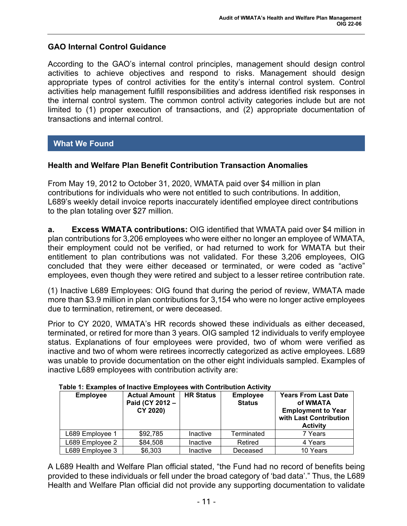#### **GAO Internal Control Guidance**

According to the GAO's internal control principles, management should design control activities to achieve objectives and respond to risks. Management should design appropriate types of control activities for the entity's internal control system. Control activities help management fulfill responsibilities and address identified risk responses in the internal control system. The common control activity categories include but are not limited to (1) proper execution of transactions, and (2) appropriate documentation of transactions and internal control.

#### **What We Found**

#### **Health and Welfare Plan Benefit Contribution Transaction Anomalies**

From May 19, 2012 to October 31, 2020, WMATA paid over \$4 million in plan contributions for individuals who were not entitled to such contributions. In addition, L689's weekly detail invoice reports inaccurately identified employee direct contributions to the plan totaling over \$27 million.

**a. Excess WMATA contributions:** OIG identified that WMATA paid over \$4 million in plan contributions for 3,206 employees who were either no longer an employee of WMATA, their employment could not be verified, or had returned to work for WMATA but their entitlement to plan contributions was not validated. For these 3,206 employees, OIG concluded that they were either deceased or terminated, or were coded as "active" employees, even though they were retired and subject to a lesser retiree contribution rate.

(1) Inactive L689 Employees: OIG found that during the period of review, WMATA made more than \$3.9 million in plan contributions for 3,154 who were no longer active employees due to termination, retirement, or were deceased.

Prior to CY 2020, WMATA's HR records showed these individuals as either deceased, terminated, or retired for more than 3 years. OIG sampled 12 individuals to verify employee status. Explanations of four employees were provided, two of whom were verified as inactive and two of whom were retirees incorrectly categorized as active employees. L689 was unable to provide documentation on the other eight individuals sampled. Examples of inactive L689 employees with contribution activity are:

| <b>Employee</b> | <b>Actual Amount</b><br>Paid (CY 2012 -<br>CY 2020) | <b>HR Status</b> | <b>Employee</b><br><b>Status</b> | <b>Years From Last Date</b><br>of WMATA<br><b>Employment to Year</b><br>with Last Contribution<br><b>Activity</b> |
|-----------------|-----------------------------------------------------|------------------|----------------------------------|-------------------------------------------------------------------------------------------------------------------|
| L689 Employee 1 | \$92,785                                            | Inactive         | Terminated                       | 7 Years                                                                                                           |
| L689 Employee 2 | \$84,508                                            | Inactive         | Retired                          | 4 Years                                                                                                           |
| L689 Employee 3 | \$6,303                                             | Inactive         | Deceased                         | 10 Years                                                                                                          |

#### **Table 1: Examples of Inactive Employees with Contribution Activity**

A L689 Health and Welfare Plan official stated, "the Fund had no record of benefits being provided to these individuals or fell under the broad category of 'bad data'." Thus, the L689 Health and Welfare Plan official did not provide any supporting documentation to validate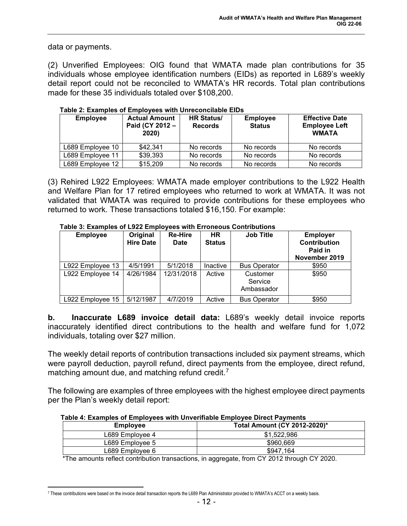data or payments.

(2) Unverified Employees: OIG found that WMATA made plan contributions for 35 individuals whose employee identification numbers (EIDs) as reported in L689's weekly detail report could not be reconciled to WMATA's HR records. Total plan contributions made for these 35 individuals totaled over \$108,200.

| <b>Employee</b>  | <b>Actual Amount</b><br>Paid (CY 2012 -<br>2020) | <b>HR Status/</b><br><b>Records</b> | <b>Employee</b><br><b>Status</b> | <b>Effective Date</b><br><b>Employee Left</b><br><b>WMATA</b> |
|------------------|--------------------------------------------------|-------------------------------------|----------------------------------|---------------------------------------------------------------|
| L689 Employee 10 | \$42,341                                         | No records                          | No records                       | No records                                                    |
| L689 Employee 11 | \$39,393                                         | No records                          | No records                       | No records                                                    |
| L689 Employee 12 | \$15,209                                         | No records                          | No records                       | No records                                                    |

**Table 2: Examples of Employees with Unreconcilable EIDs**

(3) Rehired L922 Employees: WMATA made employer contributions to the L922 Health and Welfare Plan for 17 retired employees who returned to work at WMATA. It was not validated that WMATA was required to provide contributions for these employees who returned to work. These transactions totaled \$16,150. For example:

| Table of Examples of Esza Employees with Enoncous Continuations<br><b>Employee</b> | Original<br><b>Hire Date</b> | <b>Re-Hire</b><br><b>Date</b> | <b>HR</b><br><b>Status</b> | <b>Job Title</b>                  | <b>Employer</b><br><b>Contribution</b><br>Paid in<br>November 2019 |
|------------------------------------------------------------------------------------|------------------------------|-------------------------------|----------------------------|-----------------------------------|--------------------------------------------------------------------|
| L922 Employee 13                                                                   | 4/5/1991                     | 5/1/2018                      | Inactive                   | <b>Bus Operator</b>               | \$950                                                              |
| L922 Employee 14                                                                   | 4/26/1984                    | 12/31/2018                    | Active                     | Customer<br>Service<br>Ambassador | \$950                                                              |
| L922 Employee 15                                                                   | 5/12/1987                    | 4/7/2019                      | Active                     | <b>Bus Operator</b>               | \$950                                                              |

**Table 3: Examples of L922 Employees with Erroneous Contributions**

**b. Inaccurate L689 invoice detail data:** L689's weekly detail invoice reports inaccurately identified direct contributions to the health and welfare fund for 1,072 individuals, totaling over \$27 million.

The weekly detail reports of contribution transactions included six payment streams, which were payroll deduction, payroll refund, direct payments from the employee, direct refund, matching amount due, and matching refund credit.<sup>[7](#page-11-0)</sup>

The following are examples of three employees with the highest employee direct payments per the Plan's weekly detail report:

| <b>Employee</b> | Total Amount (CY 2012-2020)* |
|-----------------|------------------------------|
| L689 Emplovee 4 | \$1.522.986                  |
| L689 Emplovee 5 | \$960,669                    |
| L689 Emplovee 6 | \$947.164                    |

 **Table 4: Examples of Employees with Unverifiable Employee Direct Payments**

\*The amounts reflect contribution transactions, in aggregate, from CY 2012 through CY 2020.

<span id="page-11-0"></span><sup>7</sup> These contributions were based on the invoice detail transaction reports the L689 Plan Administrator provided to WMATA's ACCT on a weekly basis.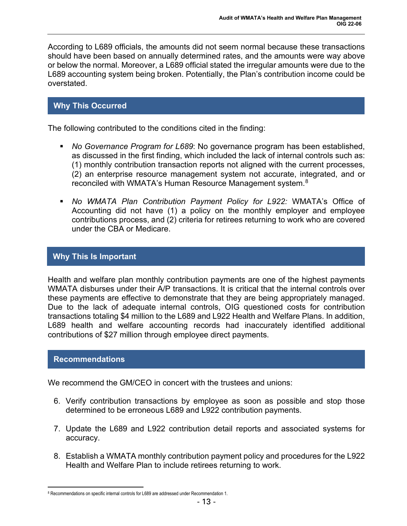According to L689 officials, the amounts did not seem normal because these transactions should have been based on annually determined rates, and the amounts were way above or below the normal. Moreover, a L689 official stated the irregular amounts were due to the L689 accounting system being broken. Potentially, the Plan's contribution income could be overstated.

## **Why This Occurred**

The following contributed to the conditions cited in the finding:

- *No Governance Program for L689*: No governance program has been established, as discussed in the first finding, which included the lack of internal controls such as: (1) monthly contribution transaction reports not aligned with the current processes, (2) an enterprise resource management system not accurate, integrated, and or reconciled with WMATA's Human Resource Management system.<sup>[8](#page-12-0)</sup>
- *No WMATA Plan Contribution Payment Policy for L922:* WMATA's Office of Accounting did not have (1) a policy on the monthly employer and employee contributions process, and (2) criteria for retirees returning to work who are covered under the CBA or Medicare.

#### **Why This Is Important**

Health and welfare plan monthly contribution payments are one of the highest payments WMATA disburses under their A/P transactions. It is critical that the internal controls over these payments are effective to demonstrate that they are being appropriately managed. Due to the lack of adequate internal controls, OIG questioned costs for contribution transactions totaling \$4 million to the L689 and L922 Health and Welfare Plans. In addition, L689 health and welfare accounting records had inaccurately identified additional contributions of \$27 million through employee direct payments.

#### **Recommendations**

We recommend the GM/CEO in concert with the trustees and unions:

- 6. Verify contribution transactions by employee as soon as possible and stop those determined to be erroneous L689 and L922 contribution payments.
- 7. Update the L689 and L922 contribution detail reports and associated systems for accuracy.
- 8. Establish a WMATA monthly contribution payment policy and procedures for the L922 Health and Welfare Plan to include retirees returning to work.

<span id="page-12-0"></span><sup>8</sup> Recommendations on specific internal controls for L689 are addressed under Recommendation 1.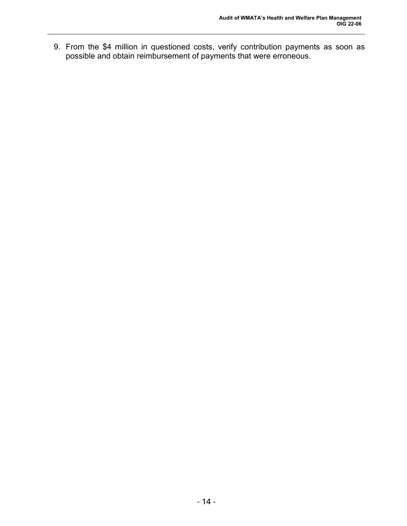9. From the \$4 million in questioned costs, verify contribution payments as soon as possible and obtain reimbursement of payments that were erroneous.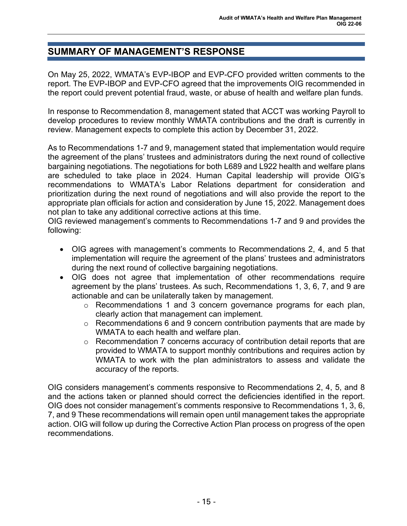# **SUMMARY OF MANAGEMENT'S RESPONSE**

On May 25, 2022, WMATA's EVP-IBOP and EVP-CFO provided written comments to the report. The EVP-IBOP and EVP-CFO agreed that the improvements OIG recommended in the report could prevent potential fraud, waste, or abuse of health and welfare plan funds.

In response to Recommendation 8, management stated that ACCT was working Payroll to develop procedures to review monthly WMATA contributions and the draft is currently in review. Management expects to complete this action by December 31, 2022.

As to Recommendations 1-7 and 9, management stated that implementation would require the agreement of the plans' trustees and administrators during the next round of collective bargaining negotiations. The negotiations for both L689 and L922 health and welfare plans are scheduled to take place in 2024. Human Capital leadership will provide OIG's recommendations to WMATA's Labor Relations department for consideration and prioritization during the next round of negotiations and will also provide the report to the appropriate plan officials for action and consideration by June 15, 2022. Management does not plan to take any additional corrective actions at this time.

OIG reviewed management's comments to Recommendations 1-7 and 9 and provides the following:

- OIG agrees with management's comments to Recommendations 2, 4, and 5 that implementation will require the agreement of the plans' trustees and administrators during the next round of collective bargaining negotiations.
- OIG does not agree that implementation of other recommendations require agreement by the plans' trustees. As such, Recommendations 1, 3, 6, 7, and 9 are actionable and can be unilaterally taken by management.
	- o Recommendations 1 and 3 concern governance programs for each plan, clearly action that management can implement.
	- o Recommendations 6 and 9 concern contribution payments that are made by WMATA to each health and welfare plan.
	- o Recommendation 7 concerns accuracy of contribution detail reports that are provided to WMATA to support monthly contributions and requires action by WMATA to work with the plan administrators to assess and validate the accuracy of the reports.

OIG considers management's comments responsive to Recommendations 2, 4, 5, and 8 and the actions taken or planned should correct the deficiencies identified in the report. OIG does not consider management's comments responsive to Recommendations 1, 3, 6, 7, and 9 These recommendations will remain open until management takes the appropriate action. OIG will follow up during the Corrective Action Plan process on progress of the open recommendations.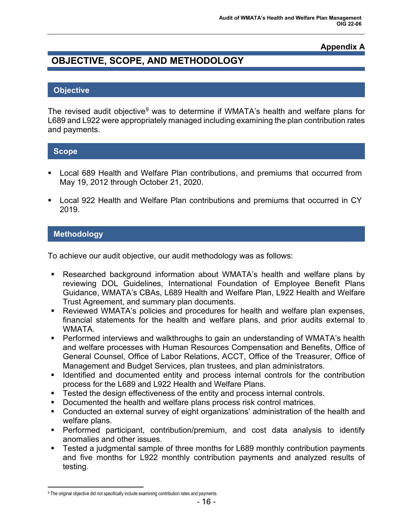# **Appendix A**

# **OBJECTIVE, SCOPE, AND METHODOLOGY**

#### **Objective**

The revised audit objective<sup>[9](#page-15-0)</sup> was to determine if WMATA's health and welfare plans for L689 and L922 were appropriately managed including examining the plan contribution rates and payments.

#### **Scope**

- Local 689 Health and Welfare Plan contributions, and premiums that occurred from May 19, 2012 through October 21, 2020.
- Local 922 Health and Welfare Plan contributions and premiums that occurred in CY 2019.

#### **Methodology**

To achieve our audit objective, our audit methodology was as follows:

- Researched background information about WMATA's health and welfare plans by reviewing DOL Guidelines, International Foundation of Employee Benefit Plans Guidance, WMATA's CBAs, L689 Health and Welfare Plan, L922 Health and Welfare Trust Agreement, and summary plan documents.
- Reviewed WMATA's policies and procedures for health and welfare plan expenses, financial statements for the health and welfare plans, and prior audits external to WMATA.
- Performed interviews and walkthroughs to gain an understanding of WMATA's health and welfare processes with Human Resources Compensation and Benefits, Office of General Counsel, Office of Labor Relations, ACCT, Office of the Treasurer, Office of Management and Budget Services, plan trustees, and plan administrators.
- Identified and documented entity and process internal controls for the contribution process for the L689 and L922 Health and Welfare Plans.
- **Tested the design effectiveness of the entity and process internal controls.**
- **Documented the health and welfare plans process risk control matrices.**
- Conducted an external survey of eight organizations' administration of the health and welfare plans.
- Performed participant, contribution/premium, and cost data analysis to identify anomalies and other issues.
- Tested a judgmental sample of three months for L689 monthly contribution payments and five months for L922 monthly contribution payments and analyzed results of testing.

<span id="page-15-0"></span><sup>9</sup> The original objective did not specifically include examining contribution rates and payments.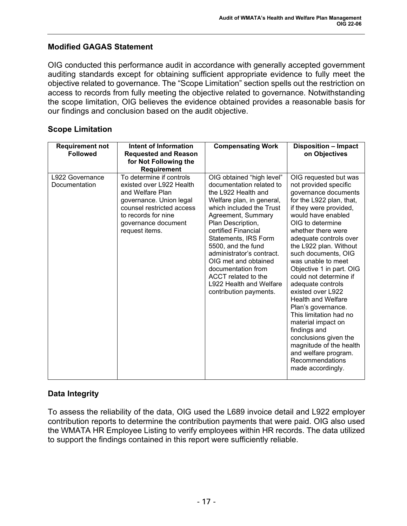# **Modified GAGAS Statement**

OIG conducted this performance audit in accordance with generally accepted government auditing standards except for obtaining sufficient appropriate evidence to fully meet the objective related to governance. The "Scope Limitation" section spells out the restriction on access to records from fully meeting the objective related to governance. Notwithstanding the scope limitation, OIG believes the evidence obtained provides a reasonable basis for our findings and conclusion based on the audit objective.

| <b>Requirement not</b><br><b>Followed</b> | Intent of Information<br><b>Requested and Reason</b><br>for Not Following the<br>Requirement                                                                                                     | <b>Compensating Work</b>                                                                                                                                                                                                                                                                                                                                                                                     | <b>Disposition - Impact</b><br>on Objectives                                                                                                                                                                                                                                                                                                                                                                                                                                                                                                                                                                                         |
|-------------------------------------------|--------------------------------------------------------------------------------------------------------------------------------------------------------------------------------------------------|--------------------------------------------------------------------------------------------------------------------------------------------------------------------------------------------------------------------------------------------------------------------------------------------------------------------------------------------------------------------------------------------------------------|--------------------------------------------------------------------------------------------------------------------------------------------------------------------------------------------------------------------------------------------------------------------------------------------------------------------------------------------------------------------------------------------------------------------------------------------------------------------------------------------------------------------------------------------------------------------------------------------------------------------------------------|
| L922 Governance<br>Documentation          | To determine if controls<br>existed over L922 Health<br>and Welfare Plan<br>governance. Union legal<br>counsel restricted access<br>to records for nine<br>governance document<br>request items. | OIG obtained "high level"<br>documentation related to<br>the L922 Health and<br>Welfare plan, in general,<br>which included the Trust<br>Agreement, Summary<br>Plan Description,<br>certified Financial<br>Statements, IRS Form<br>5500, and the fund<br>administrator's contract.<br>OIG met and obtained<br>documentation from<br>ACCT related to the<br>L922 Health and Welfare<br>contribution payments. | OIG requested but was<br>not provided specific<br>governance documents<br>for the L922 plan, that,<br>if they were provided,<br>would have enabled<br>OIG to determine<br>whether there were<br>adequate controls over<br>the L922 plan. Without<br>such documents, OIG<br>was unable to meet<br>Objective 1 in part. OIG<br>could not determine if<br>adequate controls<br>existed over L922<br><b>Health and Welfare</b><br>Plan's governance.<br>This limitation had no<br>material impact on<br>findings and<br>conclusions given the<br>magnitude of the health<br>and welfare program.<br>Recommendations<br>made accordingly. |

#### **Scope Limitation**

# **Data Integrity**

To assess the reliability of the data, OIG used the L689 invoice detail and L922 employer contribution reports to determine the contribution payments that were paid. OIG also used the WMATA HR Employee Listing to verify employees within HR records. The data utilized to support the findings contained in this report were sufficiently reliable.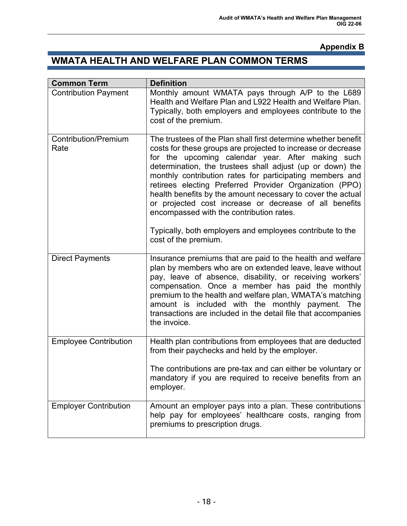# **Appendix B**

# **WMATA HEALTH AND WELFARE PLAN COMMON TERMS**

| <b>Common Term</b>                  | <b>Definition</b>                                                                                                                                                                                                                                                                                                                                                                                                                                                                                                                                                                                                                 |
|-------------------------------------|-----------------------------------------------------------------------------------------------------------------------------------------------------------------------------------------------------------------------------------------------------------------------------------------------------------------------------------------------------------------------------------------------------------------------------------------------------------------------------------------------------------------------------------------------------------------------------------------------------------------------------------|
| <b>Contribution Payment</b>         | Monthly amount WMATA pays through A/P to the L689<br>Health and Welfare Plan and L922 Health and Welfare Plan.<br>Typically, both employers and employees contribute to the<br>cost of the premium.                                                                                                                                                                                                                                                                                                                                                                                                                               |
| <b>Contribution/Premium</b><br>Rate | The trustees of the Plan shall first determine whether benefit<br>costs for these groups are projected to increase or decrease<br>for the upcoming calendar year. After making such<br>determination, the trustees shall adjust (up or down) the<br>monthly contribution rates for participating members and<br>retirees electing Preferred Provider Organization (PPO)<br>health benefits by the amount necessary to cover the actual<br>or projected cost increase or decrease of all benefits<br>encompassed with the contribution rates.<br>Typically, both employers and employees contribute to the<br>cost of the premium. |
| <b>Direct Payments</b>              | Insurance premiums that are paid to the health and welfare<br>plan by members who are on extended leave, leave without<br>pay, leave of absence, disability, or receiving workers'<br>compensation. Once a member has paid the monthly<br>premium to the health and welfare plan, WMATA's matching<br>amount is included with the monthly payment. The<br>transactions are included in the detail file that accompanies<br>the invoice.                                                                                                                                                                                           |
| <b>Employee Contribution</b>        | Health plan contributions from employees that are deducted<br>from their paychecks and held by the employer.<br>The contributions are pre-tax and can either be voluntary or<br>mandatory if you are required to receive benefits from an<br>employer.                                                                                                                                                                                                                                                                                                                                                                            |
| <b>Employer Contribution</b>        | Amount an employer pays into a plan. These contributions<br>help pay for employees' healthcare costs, ranging from<br>premiums to prescription drugs.                                                                                                                                                                                                                                                                                                                                                                                                                                                                             |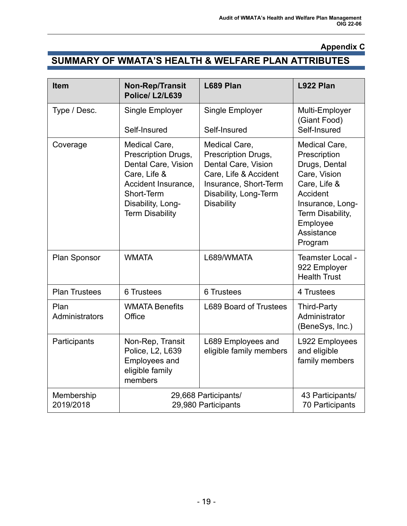# **Appendix C**

# **SUMMARY OF WMATA'S HEALTH & WELFARE PLAN ATTRIBUTES**

| <b>Item</b>             | <b>Non-Rep/Transit</b><br>Police/L2/L639                                                                                                                        | L689 Plan                                                                                                                                                   | L922 Plan                                                                                                                                                               |
|-------------------------|-----------------------------------------------------------------------------------------------------------------------------------------------------------------|-------------------------------------------------------------------------------------------------------------------------------------------------------------|-------------------------------------------------------------------------------------------------------------------------------------------------------------------------|
| Type / Desc.            | Single Employer                                                                                                                                                 | Single Employer                                                                                                                                             | Multi-Employer<br>(Giant Food)                                                                                                                                          |
|                         | Self-Insured                                                                                                                                                    | Self-Insured                                                                                                                                                | Self-Insured                                                                                                                                                            |
| Coverage                | Medical Care,<br>Prescription Drugs,<br>Dental Care, Vision<br>Care, Life &<br>Accident Insurance,<br>Short-Term<br>Disability, Long-<br><b>Term Disability</b> | Medical Care,<br>Prescription Drugs,<br>Dental Care, Vision<br>Care, Life & Accident<br>Insurance, Short-Term<br>Disability, Long-Term<br><b>Disability</b> | Medical Care,<br>Prescription<br>Drugs, Dental<br>Care, Vision<br>Care, Life &<br>Accident<br>Insurance, Long-<br>Term Disability,<br>Employee<br>Assistance<br>Program |
| Plan Sponsor            | <b>WMATA</b>                                                                                                                                                    | L689/WMATA                                                                                                                                                  | Teamster Local -<br>922 Employer<br><b>Health Trust</b>                                                                                                                 |
| <b>Plan Trustees</b>    | <b>6 Trustees</b>                                                                                                                                               | <b>6 Trustees</b>                                                                                                                                           | 4 Trustees                                                                                                                                                              |
| Plan<br>Administrators  | <b>WMATA Benefits</b><br>Office                                                                                                                                 | <b>L689 Board of Trustees</b>                                                                                                                               | <b>Third-Party</b><br>Administrator<br>(BeneSys, Inc.)                                                                                                                  |
| Participants            | Non-Rep, Transit<br>Police, L2, L639<br><b>Employees and</b><br>eligible family<br>members                                                                      | L689 Employees and<br>eligible family members                                                                                                               | L922 Employees<br>and eligible<br>family members                                                                                                                        |
| Membership<br>2019/2018 | 29,668 Participants/<br>29,980 Participants                                                                                                                     |                                                                                                                                                             | 43 Participants/<br><b>70 Participants</b>                                                                                                                              |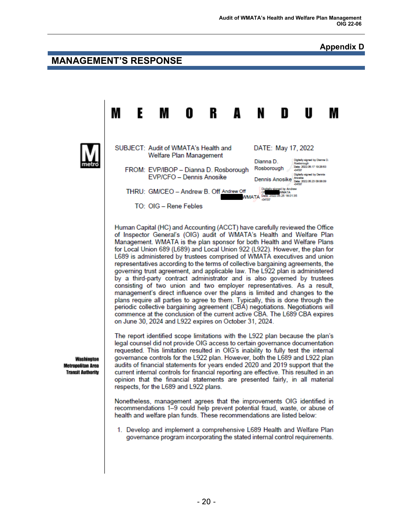## **Appendix D**

# **MANAGEMENT'S RESPONSE**

М R E М O A N N U M SUBJECT: Audit of WMATA's Health and DATE: May 17, 2022 Welfare Plan Management Dianna D. Digitally signed by Dianna D Dete: 2022.05.17 19:28:53<br>-04'00' Rosborough FROM: EVP/IBOP - Dianna D. Rosborough Digitally stored by Dennis EVP/CFO - Dennis Anosike Dennis Anosike Date: 2022.05.23 09:08:09 THRU: GM/CEO - Andrew B. Off Andrew Off WMATA Date: 2 22.05.25.18:01:35 TO: OIG - Rene Febles Human Capital (HC) and Accounting (ACCT) have carefully reviewed the Office of Inspector General's (OIG) audit of WMATA's Health and Welfare Plan Management. WMATA is the plan sponsor for both Health and Welfare Plans for Local Union 689 (L689) and Local Union 922 (L922). However, the plan for L689 is administered by trustees comprised of WMATA executives and union representatives according to the terms of collective bargaining agreements, the governing trust agreement, and applicable law. The L922 plan is administered by a third-party contract administrator and is also governed by trustees consisting of two union and two employer representatives. As a result, management's direct influence over the plans is limited and changes to the plans require all parties to agree to them. Typically, this is done through the periodic collective bargaining agreement (CBA) negotiations. Negotiations will commence at the conclusion of the current active CBA. The L689 CBA expires on June 30, 2024 and L922 expires on October 31, 2024. The report identified scope limitations with the L922 plan because the plan's legal counsel did not provide OIG access to certain governance documentation requested. This limitation resulted in OIG's inability to fully test the internal governance controls for the L922 plan. However, both the L689 and L922 plan Washington audits of financial statements for years ended 2020 and 2019 support that the **Metropolitan Area Transit Authority** current internal controls for financial reporting are effective. This resulted in an opinion that the financial statements are presented fairly, in all material respects, for the L689 and L922 plans. Nonetheless, management agrees that the improvements OIG identified in recommendations 1–9 could help prevent potential fraud, waste, or abuse of health and welfare plan funds. These recommendations are listed below: 1. Develop and implement a comprehensive L689 Health and Welfare Plan

governance program incorporating the stated internal control requirements.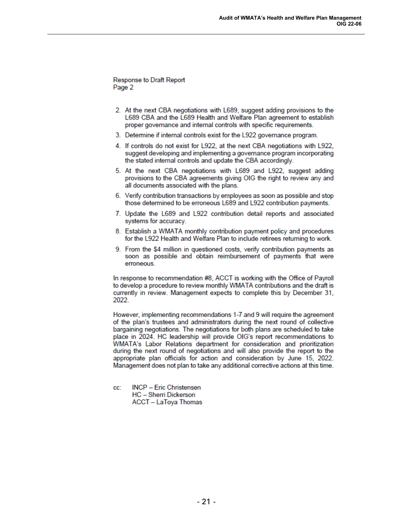Response to Draft Report Page 2

- 2. At the next CBA negotiations with L689, suggest adding provisions to the L689 CBA and the L689 Health and Welfare Plan agreement to establish proper governance and internal controls with specific requirements.
- 3. Determine if internal controls exist for the L922 governance program.
- 4. If controls do not exist for L922, at the next CBA negotiations with L922, suggest developing and implementing a governance program incorporating the stated internal controls and update the CBA accordingly.
- 5. At the next CBA negotiations with L689 and L922, suggest adding provisions to the CBA agreements giving OIG the right to review any and all documents associated with the plans.
- 6. Verify contribution transactions by employees as soon as possible and stop those determined to be erroneous L689 and L922 contribution payments.
- 7. Update the L689 and L922 contribution detail reports and associated systems for accuracy.
- 8. Establish a WMATA monthly contribution payment policy and procedures for the L922 Health and Welfare Plan to include retirees returning to work.
- 9. From the \$4 million in questioned costs, verify contribution payments as soon as possible and obtain reimbursement of payments that were erroneous.

In response to recommendation #8, ACCT is working with the Office of Payroll to develop a procedure to review monthly WMATA contributions and the draft is currently in review. Management expects to complete this by December 31, 2022.

However, implementing recommendations 1-7 and 9 will require the agreement of the plan's trustees and administrators during the next round of collective bargaining negotiations. The negotiations for both plans are scheduled to take place in 2024. HC leadership will provide OIG's report recommendations to WMATA's Labor Relations department for consideration and prioritization during the next round of negotiations and will also provide the report to the appropriate plan officials for action and consideration by June 15, 2022. Management does not plan to take any additional corrective actions at this time.

**INCP - Eric Christensen** cc: **HC** - Sherri Dickerson **ACCT - LaToya Thomas**